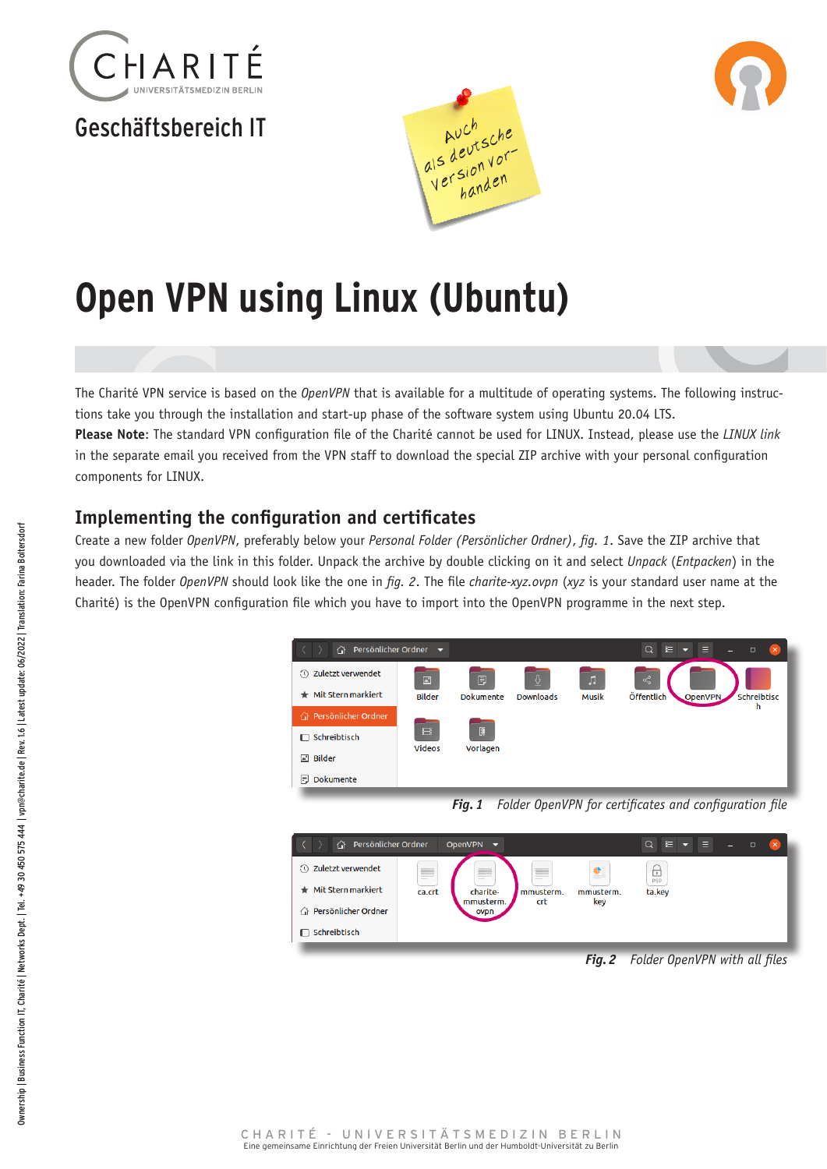

## Geschäftsbereich IT





# **Open VPN using Linux (Ubuntu)**

The Charité VPN service is based on the *OpenVPN* that is available for a multitude of operating systems. The following instructions take you through the installation and start-up phase of the software system using Ubuntu 20.04 LTS.

**Please Note**: The standard VPN configuration file of the Charité cannot be used for LINUX. Instead, please use the *LINUX link* in the separate email you received from the VPN staff to download the special ZIP archive with your personal configuration components for LINUX.

## **Implementing the configuration and certificates**

Create a new folder *OpenVPN*, preferably below your *Personal Folder (Persönlicher Ordner)*, *fig. 1*. Save the ZIP archive that you downloaded via the link in this folder. Unpack the archive by double clicking on it and select *Unpack* (*Entpacken*) in the header. The folder *OpenVPN* should look like the one in *fig. 2*. The file *charite-xyz.ovpn* (*xyz* is your standard user name at the Charité) is the OpenVPN configuration file which you have to import into the OpenVPN programme in the next step.







*Fig.2 Folder OpenVPN with all files*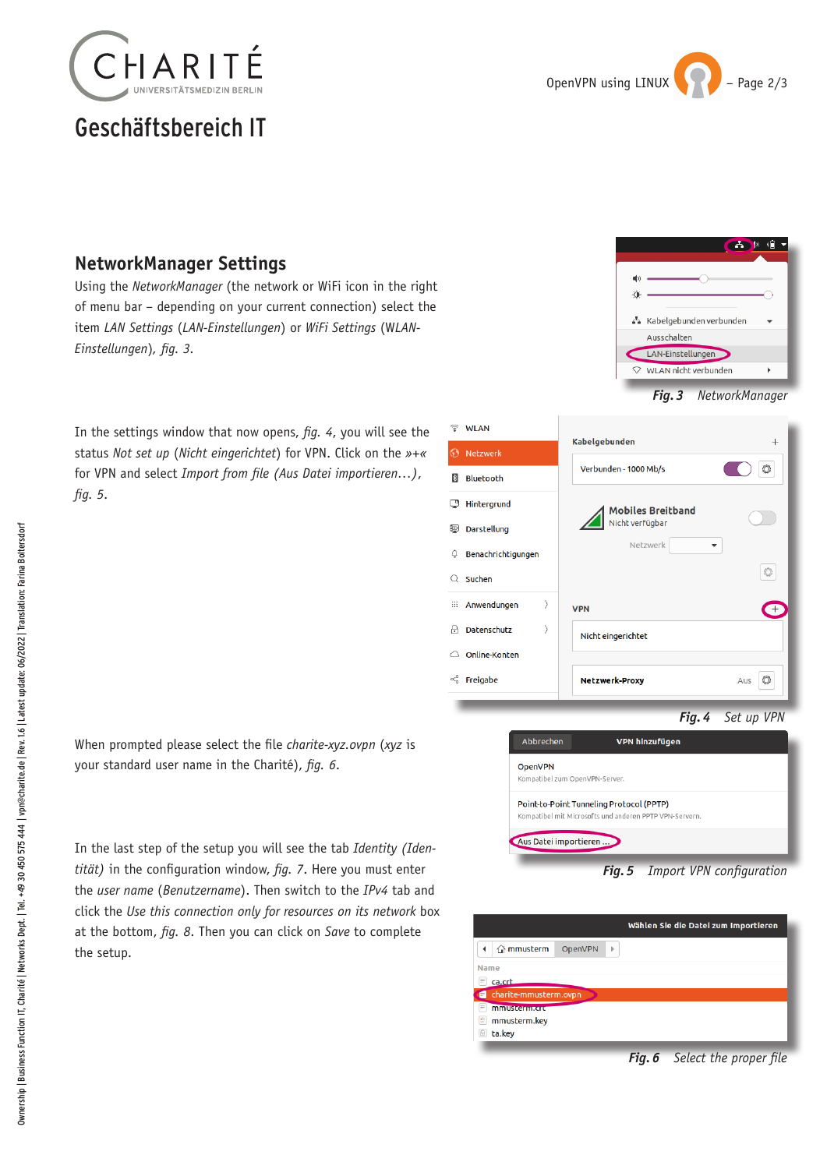

# Geschäftsbereich IT



#### **NetworkManager Settings**

Using the *NetworkManager* (the network or WiFi icon in the right of menu bar – depending on your current connection) select the item *LAN Settings* (*LAN-Einstellungen*) or *WiFi Settings* (W*LAN-Einstellungen*)*, fig. 3.*

In the settings window that now opens, *fig. 4*, you will see the status *Not set up* (*Nicht eingerichtet*) for VPN. Click on the *»+«* for VPN and select *Import from file (Aus Datei importieren…)*, *fig. 5*.



| Ŧ.              | WLAN               | Kabelgebunden            | $^{+}$     |
|-----------------|--------------------|--------------------------|------------|
| $\odot$         | Netzwerk           |                          |            |
| $\vert x \vert$ | Bluetooth          | Verbunden - 1000 Mb/s    | Ô          |
| Ģ               | Hintergrund        | <b>Mobiles Breitband</b> |            |
| Þ               | Darstellung        | Nicht verfügbar          |            |
| Û               | Benachrichtigungen | Netzwerk<br>▼            |            |
| Q               | Suchen             |                          | Ō          |
| ₩               | ⟩<br>Anwendungen   | <b>VPN</b>               |            |
| A               | Datenschutz        | Nicht eingerichtet       |            |
| ⌒               | Online-Konten      |                          |            |
| $\propto$       | Freigabe           | <b>Netzwerk-Proxy</b>    | O<br>Aus   |
|                 |                    | Fia. 4                   | Set up VPN |

When prompted please select the file *charite-xyz.ovpn* (*xyz* is your standard user name in the Charité), *fig. 6*.

In the last step of the setup you will see the tab *Identity (Identität)* in the configuration window, *fig. 7*. Here you must enter the *user name* (*Benutzername*). Then switch to the *IPv4* tab and click the *Use this connection only for resources on its network* box at the bottom, *fig. 8*. Then you can click on *Save* to complete the setup.

| <b>OpenVPN</b>                 |                                                         |  |
|--------------------------------|---------------------------------------------------------|--|
| Kompatibel zum OpenVPN-Server. |                                                         |  |
|                                | Point-to-Point Tunneling Protocol (PPTP)                |  |
|                                | Kompatibel mit Microsofts und anderen PPTP VPN-Servern. |  |

|                            |                     | Wählen Sie die Datei zum Importieren |  |  |  |
|----------------------------|---------------------|--------------------------------------|--|--|--|
| $\hat{m}$ mmusterm         | <b>OpenVPN</b><br>þ |                                      |  |  |  |
| Name                       |                     |                                      |  |  |  |
| e<br>ca.crt                |                     |                                      |  |  |  |
| charite-mmusterm.ovpn<br>E |                     |                                      |  |  |  |
| E<br>mmustermann           |                     |                                      |  |  |  |
| e,<br>mmusterm.key         |                     |                                      |  |  |  |
| ta.key<br>e                |                     |                                      |  |  |  |
|                            |                     |                                      |  |  |  |

*Fig.6 Select the proper file*